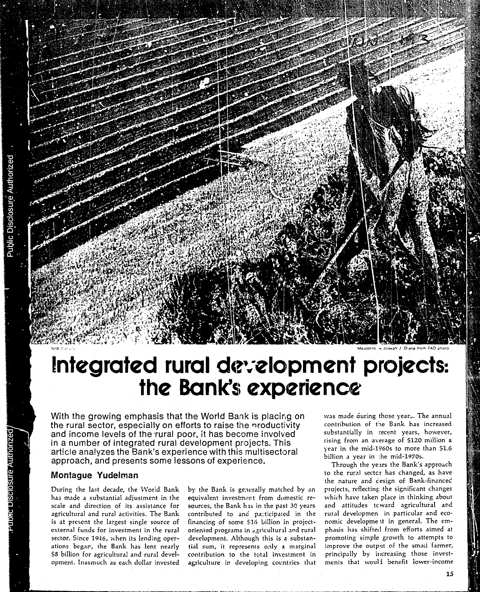

# Integrated rural development projects: the Bank's experience

With the growing emphasis that the World Bank is placing on the rural sector, especially on efforts to raise the productivity and income levels of the rural poor, it has become involved in a number of integrated rural development projects. This article analyzes the Bank's experience with this multisectoral approach, and presents some lessons of experience.

# Montaque Yudelman

**Public Disclosure Authorized** 

During the last decade, the World Bank has made a substantial adjustment in the scale and direction of its assistance for agricultural and rural activities. The Bank is at present the largest single source of external funds for investment in the rural sector. Since 1946, when its lending operations begar, the Bank has lent nearly \$8 billion for agricultural and rural development. Inasmuch as each dollar invested

by the Bank is generally matched by an equivalent investment from domestic resources, the Bank has in the past 30 years contributed to and participated in the financing of some \$16 billion in projectoriented programs in agricultural and rural development. Although this is a substantial sum, it represents only a marginal contribution to the total investment in agriculture in developing countries that was made during those years. The annual contribution of the Bank has increased substantially in recent years, however, rising from an average of \$120 million a year in the mid-1960s to more than \$1.6 billion a year in the mid-1970s.

Through the years the Bank's approach to the rural sector has changed, as have the nature and design of Bank-financed projects, reflecting the significant changes which have taken place in thinking about and attitudes toward agricultural and rural developmen in particular and economic development in general. The emphasis has shifted from efforts aimed at promoting simple growth to attempts to improve the output of the smail farmer, principally by increasing those investments that would benefit lower-income

15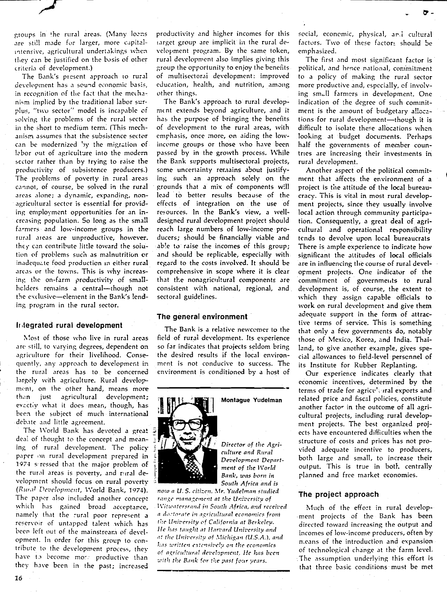eroups in the rural areas. (Many loans are still made for larger, more capitalintensive, agricultural undertakings when they can be justified on the basis of other criteria of development.)

The Bank's present approach to rural development has a sound economic basis. in recognition of the fact that the mechanism implied by the traditional labor surplus, "two sector" model is incapable of solving the problems of the rural sector in the short to medium term. (This mechanism assumes that the subsistence sector. can be modernized 'by the migration of labor out of agriculture into the modern sector rather than by frying to raise the productivity of subsistence producers.) The problems of poverty in rural areas cannot, of course, be solved in the rural areas alone; a dynamic, expanding, nonagricultural sector is essential for providing employment opportunities for an increasing population. So long as the small farmers and low-income groups in the rural areas are unproductive, however, they can contribute little toward the solution of problems such as malnutrition or inadequate food production in either rural areas or the towns. This is why increasing the on-farm preductivity of smallholders remains a central-though not the exclusive-element in the Bank's lending program in the rural sector.

## Integrated rural development

Most of those who live in rural areas are still, to varying degrees, dependent on agriculture for their livelihood. Consequently, any approach to development in the rural areas has to be concerned largely with agriculture. Rural development, on the other hand, means more than just agricultural development; exactiv what it does mean, though, has been the subject of much international debate and little agreement.

The World Bank has devoted a great deal of thought to the concept and meaning of rural development. The policy paper on rural development prepared in 1974 s ressed that the major problem of the rural areas is poverty, and rural development should focus on rural poverty (Rural Development, World Bank, 1974). The paper also included another concept which has gained broad acceptance, namely that the rural poor represent a reservoir of untapped talent which has been left out of the mainstream of development. In order for this group to contribute to the development process, they have to become more productive than they have been in the past; increased

productivity and higher incomes for this target group are implicit in the rural development program. By the same token, rural development also implies giving this group the opportunity to enjoy the benefits. of multisectoral development: improved education, health, and nutrition, among other things.

The Bank's approach to rural development extends beyond agriculture, and it has the purpose of bringing the benefits of development to the rural areas, with emphasis, once more, on aiding the lowincome groups or those who have been passed by in the growth process. While the Bank supports multisectoral projects, some uncertainty remains about justifying such an approach solely on the grounds that a mix of components will lead to better results because of the effects of integration on the use of resources. In the Bank's view, a welldesigned rural development project should reach large numbers of low-income producers; should be financially viable and able to raise the incomes of this group; and should be replicable, especially with regard to the costs involved. It should be comprehensive in scope where it is clear that the nonagricultural components are consistent with national, regional, and sectoral guidelines.

#### The general environment

The Bank is a relative newcomer to the field of rural development. Its experience so far indicates that projects seldom bring the desired results if the local environment is not conducive to success. The environment is conditioned by a host of



Director of the Agriculture and Rural Development Department of the World Bank, was born in

now a U.S. citizen. Mr. Yudelman studied range management at the University of Witwatersrand in South Africa, and received a doctorate in agricultural economics from the University of California at Berkeley. He has taught at Harvard University and at the University of Michigan (U.S.A.), and has written extensively on the economics of agricultural development. He has been with the Bank for the past four years.

social, economic, physical, and cultural factors. Two of these factors should be emphasized.

The first and most significant factor is political, and hence national, conimitment to a policy of making the rural sector more productive and, especially, of involving small farmers in development. One indication of the degree of such cominitment is the amount of budgetary allocations for rural development-though it is difficult to isolate these allocations when looking at budget documents. Perhaps half the governments of member countries are increasing their investments in rural development.

Another aspect of the political commitment that affects the environment of a project is the attitude of the local bureaucracy. This is vital in most rural development projects, since they usually involve local action through community participation. Consequently, a great deal of agricultural and operational responsibility tends to devolve upon local bureaucrats There is ample experience to indicate how significant the attitudes of local officials are in influencing the course of rural development projects. One indicator of the commitment of governments to rural development is, of course, the extent to which they assign capable officials to work on rural development and give them adequate support in the form of attractive terms of service. This is something that only a few governments do, notably those of Mexico, Korea, and India. Thailand, to give another example, gives special allowances to field-level personnel of its Institute for Rubber Replanting.

Our experience indicates clearly that economic incentives, determined by the terms of trade for agricu'caral exports and related price and fiscal policies, constitute another factor in the outcome of all agricultural projects, including rural development projects. The best organized projects have encountered difficulties when the structure of costs and prices has not provided adequate incentive to producers, both large and small, to increase their output. This is true in both. centrally planned and free market economies.

#### The project approach

Much of the effort in rural development projects of the Bank has been directed toward increasing the output and incomes of low-income producers, often by means of the introduction and expansion of technological change at the farm level. The assumption underlying this effort is that three basic conditions must be met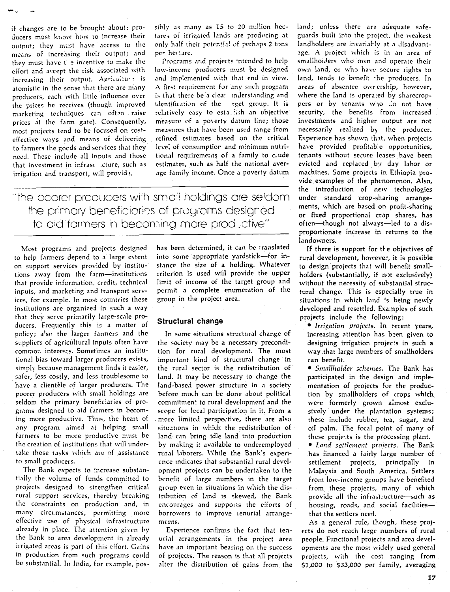if changes are to be brought about: producers must know how to increase their output; they must have access to the means of increasing their output; and they must have the incentive to make the effort and accept the risk associated with increasing their output. Agriculture is atomistic in the sense that there are many producers, each with little influence over the prices he receives (though improved marketing techniques can often raise prices at the farm gate). Consequently, most projects tend to be focused on costeffective ways and means of delivering to farmers the goods and services that they need. These include all inputs and those that investment in infrast teture, such as irrigation and transport, will provid?.

sibly as many as 15 to 20 million hectares of irrigated lands are producing at only half their potential of perhaps 2 tons ner hectare.

Programs and projects intended to help low-income producers must be designed and implemented with that end in view. A first requirement for any such program is that there be a clear inderstanding and identification of the rget group. It is relatively easy to esta. lish an objective measure of a poverty datum line: those measures that have been used range from refined estimates based on the critical level of consumption and minimum nutritional requirements of a family to clude estimates, such as half the national average family income. Once a poverty datum

the poorer producers with small holdings are seldom the primary beneficiaries of programs designed to aid farmers in becoming more productive"

Most programs and projects designed to help farmers depend to a large extent on support services provided by institutions away from the farm-institutions that provide information, credit, technical inputs, and marketing and transport services, for example. In most countries these institutions are organized in such a way that they serve primarily large-scale producers. Frequently this is a matter of policy: also the larger farmers and the suppliers of agricultural inputs often have common interests. Sometimes an institutional bias toward larger producers exists, simply because management finds it easier, safer, less costly, and less troublesome to have a clientele of larger producers. The poorer producers with small holdings are seldom the primary beneficiaries of programs designed to aid farmers in becoming more productive. Thus, the heart of any program aimed at helping small farmers to be more productive must be the creation of institutions that will undertake those tasks which are of assistance to small producers.

The Bank expects to increase substantially the volume of funds committed to projects designed to strengthen critical rural support services, thereby breaking the constraints on production and, in many circumstances, permitting more effective use of physical infrastructure already in place. The attention given by the Bank to area development in already irrigated areas is part of this effort. Gains in production from such programs could be substantial. In India, for example, pos-

has been determined, it can be translated into some appropriate yardstick-for instance the size of a holding. Whatever criterion is used will provide the upper limit of income of the target group and permit a complete enumeration of the group in the project area.

### Structural change

In some situations structural change of the society may be a necessary precondition for rural development. The most important kind of structural change in the rural sector is the redistribution of land. It may be necessary to change the land-based power structure in a society before much can be done about political commitment to rural development and the scope for local participation in it. From a more limited perspective, there are also situations in which the redistribution of land can bring idle land into production by making it available to underemployed rural laborers. While the Bank's experience indicates that substantial rural development projects can be undertaken to the benefit of large numbers in the target group even in situations in which the distribution of land is skewed, the Bank encourages and supports the efforts of borrowers to improve tenurial arrangements.

Experience confirms the fact that tenurial arrangements in the project area have an important bearing on the success of projects. The reason is that all projects alter the distribution of gains from the

land; unless there are adequate safeguards built into the project, the weakest landholders are invariably at a disadvantage. A project which is in an area of smallhoiders who own and operate their own land, or who have secure rights to land, tends to benefit he producers. In areas of absentee owrership, however, where the land is operated by sharecroppers or by tenants who do not have security, the benefits from increased investments and higher output are not necessarily realized by the producer. Experience has shown that, when projects have provided profitable opportunities. tenants without secure leases have been evicted and replaced by day labor or machines. Some projects in Ethiopia provide examples of the phenomenon. Also, the introduction of new technologies under standard crop-sharing arrangements, which are based on profit-sharing or fixed proportional crop shares, has often-though not always-led to a disproportionate increase in returns to the landowners.

If there is support for the objectives of rural development, however, it is possible to design projects that will benefit smallholders (substantially, if not exclusively) without the necessity of substantial structural change. This is especially true in situations in which land is being newly developed and resettled. Examples of such projects include the following:

· Irrigation projects. In tecent years, increasing attention has been given to designing irrigation projects in such a way that large numbers of smallholders can benefit.

· Smallholder schemes. The Bank has participated in the design and implementation of projects for the production by smallholders of crops which were formerly grown almost exclusively under the plantation systems; these include rubber, tea, sugar, and oil palm. The focal point of many of these projects is the processing plant.

· Land settlement projects. The Bank has financed a fairly large number of settlement projects, principally in Malaysia and South America. Settlers from low-income groups have benefited from these projects, many of which provide all the infrastructure-such as housing, roads, and social facilitiesthat the settlers need.

As a general rule, though, these projects do not reach large numbers of rural people. Functional projects and area developments are the most widely used general projects, with the cost ranging from 51,000 to 533,000 per family, averaging